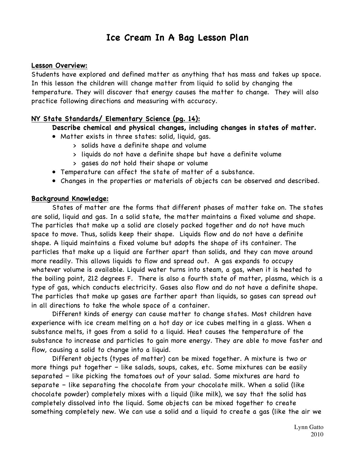# **Ice Cream In A Bag Lesson Plan**

## **Lesson Overview:**

Students have explored and defined matter as anything that has mass and takes up space. In this lesson the children will change matter from liquid to solid by changing the temperature. They will discover that energy causes the matter to change. They will also practice following directions and measuring with accuracy.

## **NY State Standards/ Elementary Science (pg. 14):**

## **Describe chemical and physical changes, including changes in states of matter.**

- Matter exists in three states: solid, liquid, gas.
	- > solids have a definite shape and volume
	- > liquids do not have a definite shape but have a definite volume
	- > gases do not hold their shape or volume
- Temperature can affect the state of matter of a substance.
- Changes in the properties or materials of objects can be observed and described.

## **Background Knowledge:**

States of matter are the forms that different phases of matter take on. The states are solid, liquid and gas. In a solid state, the matter maintains a fixed volume and shape. The particles that make up a solid are closely packed together and do not have much space to move. Thus, solids keep their shape. Liquids flow and do not have a definite shape. A liquid maintains a fixed volume but adopts the shape of its container. The particles that make up a liquid are farther apart than solids, and they can move around more readily. This allows liquids to flow and spread out. A gas expands to occupy whatever volume is available. Liquid water turns into steam, a gas, when it is heated to the boiling point, 212 degrees F. There is also a fourth state of matter, plasma, which is a type of gas, which conducts electricity. Gases also flow and do not have a definite shape. The particles that make up gases are farther apart than liquids, so gases can spread out in all directions to take the whole space of a container.

Different kinds of energy can cause matter to change states. Most children have experience with ice cream melting on a hot day or ice cubes melting in a glass. When a substance melts, it goes from a solid to a liquid. Heat causes the temperature of the substance to increase and particles to gain more energy. They are able to move faster and flow, causing a solid to change into a liquid.

Different objects (types of matter) can be mixed together. A mixture is two or more things put together – like salads, soups, cakes, etc. Some mixtures can be easily separated – like picking the tomatoes out of your salad. Some mixtures are hard to separate – like separating the chocolate from your chocolate milk. When a solid (like chocolate powder) completely mixes with a liquid (like milk), we say that the solid has completely dissolved into the liquid. Some objects can be mixed together to create something completely new. We can use a solid and a liquid to create a gas (like the air we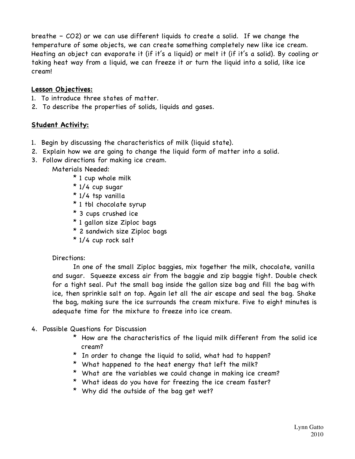breathe – CO2) or we can use different liquids to create a solid. If we change the temperature of some objects, we can create something completely new like ice cream. Heating an object can evaporate it (if it's a liquid) or melt it (if it's a solid). By cooling or taking heat way from a liquid, we can freeze it or turn the liquid into a solid, like ice cream!

## **Lesson Objectives:**

- 1. To introduce three states of matter.
- 2. To describe the properties of solids, liquids and gases.

## **Student Activity:**

- 1. Begin by discussing the characteristics of milk (liquid state).
- 2. Explain how we are going to change the liquid form of matter into a solid.
- 3. Follow directions for making ice cream.
	- Materials Needed:
		- \* 1 cup whole milk
		- \* 1/4 cup sugar
		- \* 1/4 tsp vanilla
		- \* 1 tbl chocolate syrup
		- \* 3 cups crushed ice
		- \* 1 gallon size Ziploc bags
		- \* 2 sandwich size Ziploc bags
		- \* 1/4 cup rock salt

## Directions:

In one of the small Ziploc baggies, mix together the milk, chocolate, vanilla and sugar. Squeeze excess air from the baggie and zip baggie tight. Double check for a tight seal. Put the small bag inside the gallon size bag and fill the bag with ice, then sprinkle salt on top. Again let all the air escape and seal the bag. Shake the bag, making sure the ice surrounds the cream mixture. Five to eight minutes is adequate time for the mixture to freeze into ice cream.

- 4. Possible Questions for Discussion
	- \* How are the characteristics of the liquid milk different from the solid ice cream?
	- \* In order to change the liquid to solid, what had to happen?
	- \* What happened to the heat energy that left the milk?
	- \* What are the variables we could change in making ice cream?
	- \* What ideas do you have for freezing the ice cream faster?
	- \* Why did the outside of the bag get wet?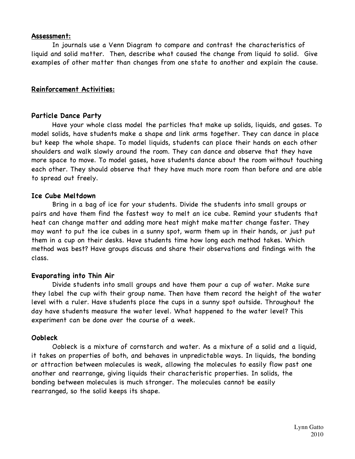## **Assessment:**

In journals use a Venn Diagram to compare and contrast the characteristics of liquid and solid matter. Then, describe what caused the change from liquid to solid. Give examples of other matter than changes from one state to another and explain the cause.

## **Reinforcement Activities:**

## **Particle Dance Party**

Have your whole class model the particles that make up solids, liquids, and gases. To model solids, have students make a shape and link arms together. They can dance in place but keep the whole shape. To model liquids, students can place their hands on each other shoulders and walk slowly around the room. They can dance and observe that they have more space to move. To model gases, have students dance about the room without touching each other. They should observe that they have much more room than before and are able to spread out freely.

## **Ice Cube Meltdown**

Bring in a bag of ice for your students. Divide the students into small groups or pairs and have them find the fastest way to melt an ice cube. Remind your students that heat can change matter and adding more heat might make matter change faster. They may want to put the ice cubes in a sunny spot, warm them up in their hands, or just put them in a cup on their desks. Have students time how long each method takes. Which method was best? Have groups discuss and share their observations and findings with the class.

## **Evaporating into Thin Air**

Divide students into small groups and have them pour a cup of water. Make sure they label the cup with their group name. Then have them record the height of the water level with a ruler. Have students place the cups in a sunny spot outside. Throughout the day have students measure the water level. What happened to the water level? This experiment can be done over the course of a week.

## **Oobleck**

Oobleck is a mixture of cornstarch and water. As a mixture of a solid and a liquid, it takes on properties of both, and behaves in unpredictable ways. In liquids, the bonding or attraction between molecules is weak, allowing the molecules to easily flow past one another and rearrange, giving liquids their characteristic properties. In solids, the bonding between molecules is much stronger. The molecules cannot be easily rearranged, so the solid keeps its shape.